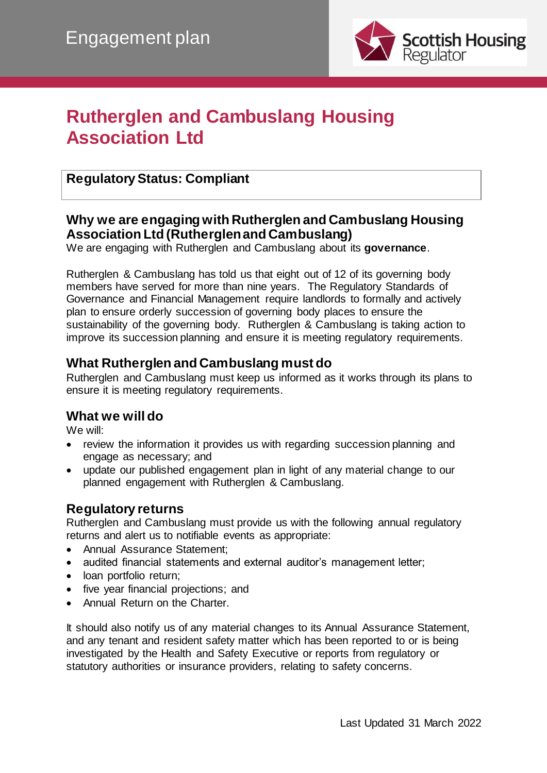

# **Rutherglen and Cambuslang Housing Association Ltd**

## **Regulatory Status: Compliant**

### **Why we are engaging with Rutherglen and Cambuslang Housing Association Ltd (Rutherglen and Cambuslang)**

We are engaging with Rutherglen and Cambuslang about its **governance**.

Rutherglen & Cambuslang has told us that eight out of 12 of its governing body members have served for more than nine years. The Regulatory Standards of Governance and Financial Management require landlords to formally and actively plan to ensure orderly succession of governing body places to ensure the sustainability of the governing body. Rutherglen & Cambuslang is taking action to improve its succession planning and ensure it is meeting regulatory requirements.

### **What Rutherglen and Cambuslang must do**

Rutherglen and Cambuslang must keep us informed as it works through its plans to ensure it is meeting regulatory requirements.

#### **What we will do**

We will:

- review the information it provides us with regarding succession planning and engage as necessary; and
- update our published engagement plan in light of any material change to our planned engagement with Rutherglen & Cambuslang.

#### **Regulatory returns**

Rutherglen and Cambuslang must provide us with the following annual regulatory returns and alert us to notifiable events as appropriate:

- Annual Assurance Statement;
- audited financial statements and external auditor's management letter;
- loan portfolio return;
- five year financial projections; and
- Annual Return on the Charter.

It should also notify us of any material changes to its Annual Assurance Statement, and any tenant and resident safety matter which has been reported to or is being investigated by the Health and Safety Executive or reports from regulatory or statutory authorities or insurance providers, relating to safety concerns.